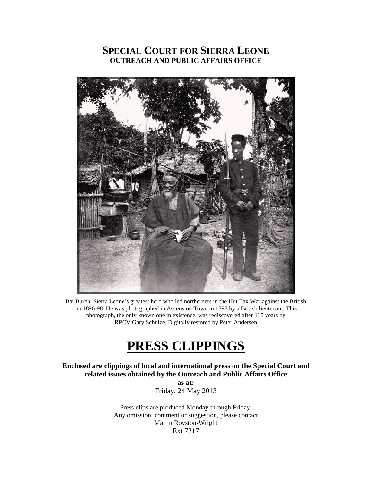# **SPECIAL COURT FOR SIERRA LEONE OUTREACH AND PUBLIC AFFAIRS OFFICE**



Bai Bureh, Sierra Leone's greatest hero who led northerners in the Hut Tax War against the British in 1896-98. He was photographed in Ascension Town in 1898 by a British lieutenant. This photograph, the only known one in existence, was rediscovered after 115 years by RPCV Gary Schulze. Digitally restored by Peter Andersen.

# **PRESS CLIPPINGS**

**Enclosed are clippings of local and international press on the Special Court and related issues obtained by the Outreach and Public Affairs Office** 

**as at:**  Friday, 24 May 2013

Press clips are produced Monday through Friday. Any omission, comment or suggestion, please contact Martin Royston-Wright Ext 7217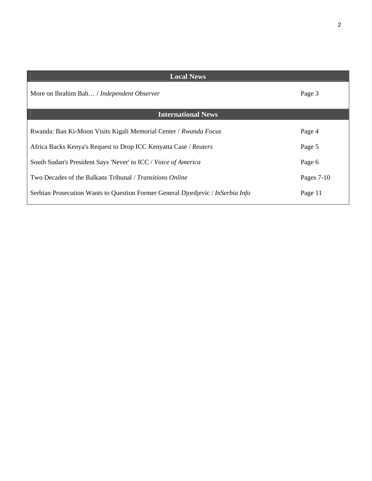| <b>Local News</b>                                                               |              |
|---------------------------------------------------------------------------------|--------------|
| More on Ibrahim Bah / Independent Observer                                      | Page 3       |
| <b>International News</b>                                                       |              |
| Rwanda: Ban Ki-Moon Visits Kigali Memorial Center / Rwanda Focus                | Page 4       |
| Africa Backs Kenya's Request to Drop ICC Kenyatta Case / Reuters                | Page 5       |
| South Sudan's President Says 'Never' to ICC / Voice of America                  | Page 6       |
| Two Decades of the Balkans Tribunal / Transitions Online                        | Pages $7-10$ |
| Serbian Prosecution Wants to Question Former General Djordjevic / InSerbia Info | Page 11      |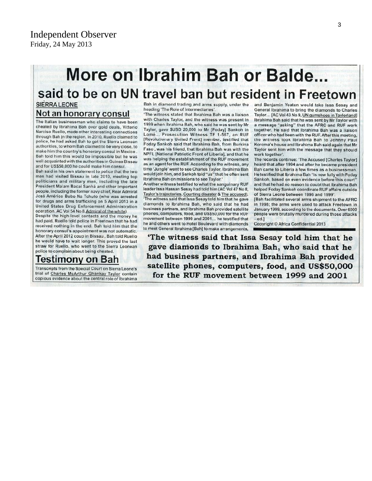# More on Ibrahim Bah or Balde... said to be on UN travel ban but resident in Freetown

**SIERRA LEONE** 

# Not an honorary consul

The Italian businessman who claims to have been cheated by Ibrahima Bah over gold deals, Vittorio Narciso Ruello, made other interesting connections through Bah in the region. In 2010, Ruello claimed to police, he had asked Bah to get the Sierra Leonean authorities, to whom Bah claimed to be very close, to make him the country's honorary consul in Mexico. Bah told him this would be impossible but he was well acquainted with the authorities in Guinea Bissau and for US\$50,000 he could make him consul.

Bah said in his own statement to police that the two men had visited Bissau in late 2010, meeting top politicians and military men, including the late President Malam Bacai Sanhá and other important people, including the former navy chief, Rear Admiral José Américo Bubo Na Tchuto (who was arrested for drugs and arms trafficking on 5 April 2013 in a United States Drug Enforcement Administration operation. AC Vol 54 No 8. Admiral of the white).

Despite the high-level contacts and the money he had paid, Ruello told police in Freetown that he had received nothing in the end. Bah told him that the honorary consul's appointment was not automatic. After the April 2012 coup in Bissau, Bah told Ruello he would have to wait longer. This proved the last straw for Ruello, who went to the Sierra Leonean police to complain about being cheated.

# **Testimony on Bah**

Transcripts from the Special Court on Sierra Leone's trial of Charles McArthur Ghankay Taylor contain copious evidence about the central role of Ibrahima Bah in diamond trading and arms supply, under the heading 'The Role of Intermediaries'

'The witness stated that Ibrahima Bah was a liaison with Charles Taylor, and the witness was present in 1999 when Ibrahima Bah, who said he was sent by Mr Taylor, gave \$USD 20,000 to Mr [Foday] Sankoh in Lomé... Prosecution Witness TF 1-567, an RUF [Revolutionary United Front] member, testified that Foday Sankoh said that Ibrahima Bah, from Burkina Faso, was his friend, that Ibrahima Bah was with the NPFL [National Patriotic Front of Liberia], and that he was helping the establishment of the RUF movement as an agent for the RUF. According to the witness, any time 'Jungle' went to see Charles Taylor, Ibrahima Bah would join him, and Sankoh told "us" that he often sent Ibrahima Bah on missions to see Taylor.'

Another witness testified to what the sanguinary RUF leader Issa Hassan Sesay had told him (AC Vol 47 No 8, Taylor's trajectories, Courting disaster & The accused). 'The witness said that Issa Sesay told him that he gave diamonds to Ibrahima Bah, who said that he had business partners, and Ibrahima Bah provided satellite phones, computers, food, and US\$50,000 for the RUF movement between 1999 and 2001... he testified that he and others went to Hotel Boulevard with diamonds to meet General Ibrahima [Bah] to make arrangements,

and Benjamin Yeaten would take Issa Sesay and General Ibrahima to bring the diamonds to Charles Taylor... [AC Vol 43 No 9, UN gumshoes in Taylorland] Ibrahima Bah said that he was sent by Mr Taylor with a message "asking" that the AFRC and RUF work together. He said that Ibrahima Bah was a liaison officer who had been with the RUF. After this meeting. the witness took Ibrahima Bah to Johnny Paul Koroma's house and Ibrahima Bah said again that Mr Taylor sent him with the message that they should work together'.

The records continue: 'The Accused [Charles Taylor] heard that after 1994 and after he became president Bah came to Liberia a few times as a businessman. He testified that Ibrahima Bah "is now fully with Foday Sankoh, based on even evidence before this court' and that he had no reason to doubt that Ibrahima Bah helped Foday Sankoh coordinate RUF affairs outside of Sierra Leone between 1996 and 1999'

[Bah facilitated several arms shipment to the AFRC in 1998; the arms were used to attack Freetown in January 1999, according to the documents. Over 6000 people were brutally murdered during those attacks ed.]

Copyright © Africa Confidential 2013

The witness said that Issa Sesay told him that he gave diamonds to Ibrahima Bah, who said that he had business partners, and Ibrahima Bah provided satellite phones, computers, food, and US\$50,000 for the RUF movement between 1999 and 2001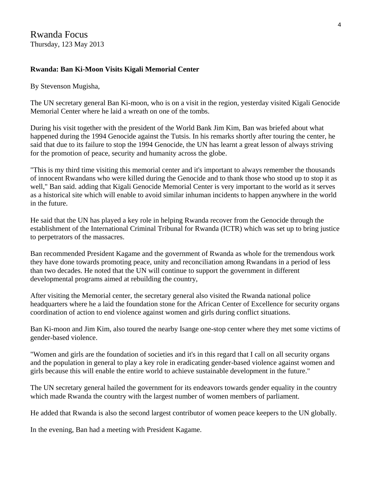# **Rwanda: Ban Ki-Moon Visits Kigali Memorial Center**

By Stevenson Mugisha,

The UN secretary general Ban Ki-moon, who is on a visit in the region, yesterday visited Kigali Genocide Memorial Center where he laid a wreath on one of the tombs.

During his visit together with the president of the World Bank Jim Kim, Ban was briefed about what happened during the 1994 Genocide against the Tutsis. In his remarks shortly after touring the center, he said that due to its failure to stop the 1994 Genocide, the UN has learnt a great lesson of always striving for the promotion of peace, security and humanity across the globe.

"This is my third time visiting this memorial center and it's important to always remember the thousands of innocent Rwandans who were killed during the Genocide and to thank those who stood up to stop it as well," Ban said. adding that Kigali Genocide Memorial Center is very important to the world as it serves as a historical site which will enable to avoid similar inhuman incidents to happen anywhere in the world in the future.

He said that the UN has played a key role in helping Rwanda recover from the Genocide through the establishment of the International Criminal Tribunal for Rwanda (ICTR) which was set up to bring justice to perpetrators of the massacres.

Ban recommended President Kagame and the government of Rwanda as whole for the tremendous work they have done towards promoting peace, unity and reconciliation among Rwandans in a period of less than two decades. He noted that the UN will continue to support the government in different developmental programs aimed at rebuilding the country,

After visiting the Memorial center, the secretary general also visited the Rwanda national police headquarters where he a laid the foundation stone for the African Center of Excellence for security organs coordination of action to end violence against women and girls during conflict situations.

Ban Ki-moon and Jim Kim, also toured the nearby Isange one-stop center where they met some victims of gender-based violence.

"Women and girls are the foundation of societies and it's in this regard that I call on all security organs and the population in general to play a key role in eradicating gender-based violence against women and girls because this will enable the entire world to achieve sustainable development in the future."

The UN secretary general hailed the government for its endeavors towards gender equality in the country which made Rwanda the country with the largest number of women members of parliament.

He added that Rwanda is also the second largest contributor of women peace keepers to the UN globally.

In the evening, Ban had a meeting with President Kagame.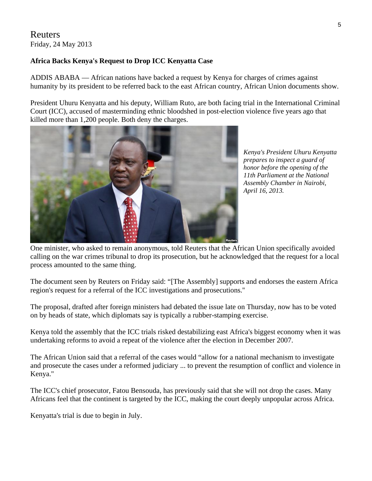# Reuters Friday, 24 May 2013

# **Africa Backs Kenya's Request to Drop ICC Kenyatta Case**

ADDIS ABABA — African nations have backed a request by Kenya for charges of crimes against humanity by its president to be referred back to the east African country, African Union documents show.

President Uhuru Kenyatta and his deputy, William Ruto, are both facing trial in the International Criminal Court (ICC), accused of masterminding ethnic bloodshed in post-election violence five years ago that killed more than 1,200 people. Both deny the charges.



*Kenya's President Uhuru Kenyatta prepares to inspect a guard of honor before the opening of the 11th Parliament at the National Assembly Chamber in Nairobi, April 16, 2013.* 

One minister, who asked to remain anonymous, told Reuters that the African Union specifically avoided calling on the war crimes tribunal to drop its prosecution, but he acknowledged that the request for a local process amounted to the same thing.

The document seen by Reuters on Friday said: "[The Assembly] supports and endorses the eastern Africa region's request for a referral of the ICC investigations and prosecutions.''

The proposal, drafted after foreign ministers had debated the issue late on Thursday, now has to be voted on by heads of state, which diplomats say is typically a rubber-stamping exercise.

Kenya told the assembly that the ICC trials risked destabilizing east Africa's biggest economy when it was undertaking reforms to avoid a repeat of the violence after the election in December 2007.

The African Union said that a referral of the cases would "allow for a national mechanism to investigate and prosecute the cases under a reformed judiciary ... to prevent the resumption of conflict and violence in Kenya.''

The ICC's chief prosecutor, Fatou Bensouda, has previously said that she will not drop the cases. Many Africans feel that the continent is targeted by the ICC, making the court deeply unpopular across Africa.

Kenyatta's trial is due to begin in July.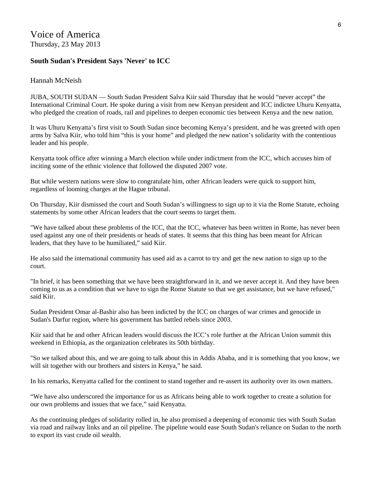# Voice of America Thursday, 23 May 2013

#### **South Sudan's President Says 'Never' to ICC**

#### Hannah McNeish

JUBA, SOUTH SUDAN — South Sudan President Salva Kiir said Thursday that he would "never accept" the International Criminal Court. He spoke during a visit from new Kenyan president and ICC indictee Uhuru Kenyatta, who pledged the creation of roads, rail and pipelines to deepen economic ties between Kenya and the new nation.

It was Uhuru Kenyatta's first visit to South Sudan since becoming Kenya's president, and he was greeted with open arms by Salva Kiir, who told him "this is your home" and pledged the new nation's solidarity with the contentious leader and his people.

Kenyatta took office after winning a March election while under indictment from the ICC, which accuses him of inciting some of the ethnic violence that followed the disputed 2007 vote.

But while western nations were slow to congratulate him, other African leaders were quick to support him, regardless of looming charges at the Hague tribunal.

On Thursday, Kiir dismissed the court and South Sudan's willingness to sign up to it via the Rome Statute, echoing statements by some other African leaders that the court seems to target them.

"We have talked about these problems of the ICC, that the ICC, whatever has been written in Rome, has never been used against any one of their presidents or heads of states. It seems that this thing has been meant for African leaders, that they have to be humiliated," said Kiir.

He also said the international community has used aid as a carrot to try and get the new nation to sign up to the court.

"In brief, it has been something that we have been straightforward in it, and we never accept it. And they have been coming to us as a condition that we have to sign the Rome Statute so that we get assistance, but we have refused," said Kiir.

Sudan President Omar al-Bashir also has been indicted by the ICC on charges of war crimes and genocide in Sudan's Darfur region, where his government has battled rebels since 2003.

Kiir said that he and other African leaders would discuss the ICC's role further at the African Union summit this weekend in Ethiopia, as the organization celebrates its 50th birthday.

"So we talked about this, and we are going to talk about this in Addis Ababa, and it is something that you know, we will sit together with our brothers and sisters in Kenya," he said.

In his remarks, Kenyatta called for the continent to stand together and re-assert its authority over its own matters.

"We have also underscored the importance for us as Africans being able to work together to create a solution for our own problems and issues that we face," said Kenyatta.

As the continuing pledges of solidarity rolled in, he also promised a deepening of economic ties with South Sudan via road and railway links and an oil pipeline. The pipeline would ease South Sudan's reliance on Sudan to the north to export its vast crude oil wealth.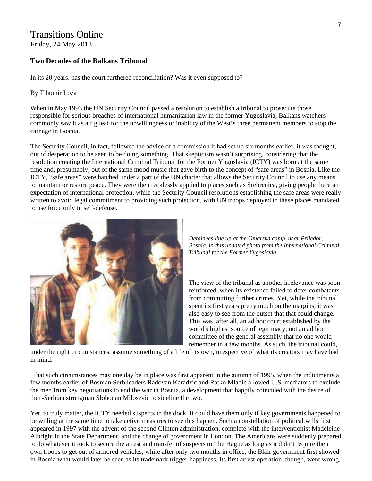# Transitions Online Friday, 24 May 2013

#### **Two Decades of the Balkans Tribunal**

In its 20 years, has the court furthered reconciliation? Was it even supposed to?

#### By Tihomir Loza

When in May 1993 the UN Security Council passed a resolution to establish a tribunal to prosecute those responsible for serious breaches of international humanitarian law in the former Yugoslavia, Balkans watchers commonly saw it as a fig leaf for the unwillingness or inability of the West's three permanent members to stop the carnage in Bosnia.

The Security Council, in fact, followed the advice of a commission it had set up six months earlier, it was thought, out of desperation to be seen to be doing something. That skepticism wasn't surprising, considering that the resolution creating the International Criminal Tribunal for the Former Yugoslavia (ICTY) was born at the same time and, presumably, out of the same mood music that gave birth to the concept of "safe areas" in Bosnia. Like the ICTY, "safe areas" were hatched under a part of the UN charter that allows the Security Council to use any means to maintain or restore peace. They were then recklessly applied to places such as Srebrenica, giving people there an expectation of international protection, while the Security Council resolutions establishing the safe areas were really written to avoid legal commitment to providing such protection, with UN troops deployed in these places mandated to use force only in self-defense.





The view of the tribunal as another irrelevance was soon reinforced, when its existence failed to deter combatants from committing further crimes. Yet, while the tribunal spent its first years pretty much on the margins, it was also easy to see from the outset that that could change. This was, after all, an ad hoc court established by the world's highest source of legitimacy, not an ad hoc committee of the general assembly that no one would remember in a few months. As such, the tribunal could,

under the right circumstances, assume something of a life of its own, irrespective of what its creators may have had in mind.

 That such circumstances may one day be in place was first apparent in the autumn of 1995, when the indictments a few months earlier of Bosnian Serb leaders Radovan Karadzic and Ratko Mladic allowed U.S. mediators to exclude the men from key negotiations to end the war in Bosnia, a development that happily coincided with the desire of then-Serbian strongman Slobodan Milosevic to sideline the two.

Yet, to truly matter, the ICTY needed suspects in the dock. It could have them only if key governments happened to be willing at the same time to take active measures to see this happen. Such a constellation of political wills first appeared in 1997 with the advent of the second Clinton administration, complete with the interventionist Madeleine Albright in the State Department, and the change of government in London. The Americans were suddenly prepared to do whatever it took to secure the arrest and transfer of suspects to The Hague as long as it didn't require their own troops to get out of armored vehicles, while after only two months in office, the Blair government first showed in Bosnia what would later be seen as its trademark trigger-happiness. Its first arrest operation, though, went wrong,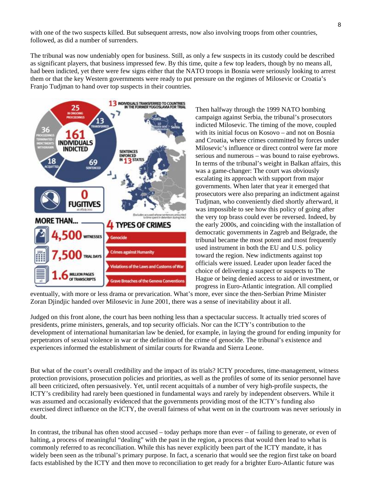with one of the two suspects killed. But subsequent arrests, now also involving troops from other countries, followed, as did a number of surrenders.

The tribunal was now undeniably open for business. Still, as only a few suspects in its custody could be described as significant players, that business impressed few. By this time, quite a few top leaders, though by no means all, had been indicted, yet there were few signs either that the NATO troops in Bosnia were seriously looking to arrest them or that the key Western governments were ready to put pressure on the regimes of Milosevic or Croatia's Franjo Tudjman to hand over top suspects in their countries.



Then halfway through the 1999 NATO bombing campaign against Serbia, the tribunal's prosecutors indicted Milosevic. The timing of the move, coupled with its initial focus on Kosovo – and not on Bosnia and Croatia, where crimes committed by forces under Milosevic's influence or direct control were far more serious and numerous – was bound to raise eyebrows. In terms of the tribunal's weight in Balkan affairs, t his was a game-changer: The court was obviously escalating its approach with support from major governments. When later that year it emerged that prosecutors were also preparing an indictment against Tudjman, who conveniently died shortly afterward, it was impossible to see how this policy of going after the very top brass could ever be reversed. Indeed, by the early 2000s, and coinciding with the installation o f democratic governments in Zagreb and Belgrade, the tribunal became the most potent and most frequ ently used instrument in both the EU and U.S. policy toward the region. New indictments against top officials were issued. Leader upon leader faced the choice of delivering a suspect or suspects to The Hague or being denied access to aid or investment, or progress in Euro-Atlantic integration. All complied

eventually, with more or less drama or prevarication. What's more, ever since the then-Serbian Prime Minister Zoran Djindjic handed over Milosevic in June 2001, there was a sense of inevitability about it all.

Judged on this front alone, the court has been nothing less than a spectacular success. It actually tried scores of presidents, prime ministers, generals, and top security officials. Nor can the ICTY's contribution to the development of international humanitarian law be denied, for example, in laying the ground for ending impunity for perpetrators of sexual violence in war or the definition of the crime of genocide. The tribunal's existence and experiences informed the establishment of similar courts for Rwanda and Sierra Leone.

But what of the court's overall credibility and the impact of its trials? ICTY procedures, time-management, witness protection provisions, prosecution policies and priorities, as well as the profiles of some of its senior personnel have all been criticized, often persuasively. Yet, until recent acquittals of a number of very high-profile suspects, the ICTY's credibility had rarely been questioned in fundamental ways and rarely by independent observers. While it was assumed and occasionally evidenced that the governments providing most of the ICTY's funding also exercised direct influence on the ICTY, the overall fairness of what went on in the courtroom was never seriously in doubt.

In contrast, the tribunal has often stood accused – today perhaps more than ever – of failing to generate, or even of halting, a process of meaningful "dealing" with the past in the region, a process that would then lead to what is commonly referred to as reconciliation. While this has never explicitly been part of the ICTY mandate, it has widely been seen as the tribunal's primary purpose. In fact, a scenario that would see the region first take on board facts established by the ICTY and then move to reconciliation to get ready for a brighter Euro-Atlantic future was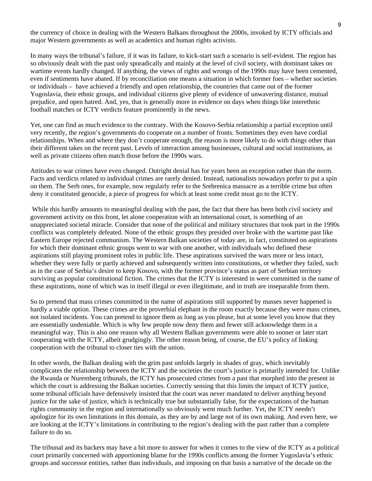the currency of choice in dealing with the Western Balkans throughout the 2000s, invoked by ICTY officials and major Western governments as well as academics and human rights activists.

In many ways the tribunal's failure, if it was its failure, to kick-start such a scenario is self-evident. The region has so obviously dealt with the past only sporadically and mainly at the level of civil society, with dominant takes on wartime events hardly changed. If anything, the views of rights and wrongs of the 1990s may have been cemented, even if sentiments have abated. If by reconciliation one means a situation in which former foes – whether societies or individuals – have achieved a friendly and open relationship, the countries that came out of the former Yugoslavia, their ethnic groups, and individual citizens give plenty of evidence of unwavering distance, mutual prejudice, and open hatred. And, yes, that is generally more in evidence on days when things like interethnic football matches or ICTY verdicts feature prominently in the news.

Yet, one can find as much evidence to the contrary. With the Kosovo-Serbia relationship a partial exception until very recently, the region's governments do cooperate on a number of fronts. Sometimes they even have cordial relationships. When and where they don't cooperate enough, the reason is more likely to do with things other than their different takes on the recent past. Levels of interaction among businesses, cultural and social institutions, as well as private citizens often match those before the 1990s wars.

Attitudes to war crimes have even changed. Outright denial has for years been an exception rather than the norm. Facts and verdicts related to individual crimes are rarely denied. Instead, nationalists nowadays prefer to put a spin on them. The Serb ones, for example, now regularly refer to the Srebrenica massacre as a terrible crime but often deny it constituted genocide, a piece of progress for which at least some credit must go to the ICTY.

While this hardly amounts to meaningful dealing with the past, the fact that there has been both civil society and government activity on this front, let alone cooperation with an international court, is something of an unappreciated societal miracle. Consider that none of the political and military structures that took part in the 1990s conflicts was completely defeated. None of the ethnic groups they presided over broke with the wartime past like Eastern Europe rejected communism. The Western Balkan societies of today are, in fact, constituted on aspirations for which their dominant ethnic groups went to war with one another, with individuals who defined these aspirations still playing prominent roles in public life. These aspirations survived the wars more or less intact, whether they were fully or partly achieved and subsequently written into constitutions, or whether they failed, such as in the case of Serbia's desire to keep Kosovo, with the former province's status as part of Serbian territory surviving as popular constitutional fiction. The crimes that the ICTY is interested in were committed in the name of these aspirations, none of which was in itself illegal or even illegitimate, and in truth are inseparable from them.

So to pretend that mass crimes committed in the name of aspirations still supported by masses never happened is hardly a viable option. These crimes are the proverbial elephant in the room exactly because they were mass crimes, not isolated incidents. You can pretend to ignore them as long as you please, but at some level you know that they are essentially undeniable. Which is why few people now deny them and fewer still acknowledge them in a meaningful way. This is also one reason why all Western Balkan governments were able to sooner or later start cooperating with the ICTY, albeit grudgingly. The other reason being, of course, the EU's policy of linking cooperation with the tribunal to closer ties with the union.

In other words, the Balkan dealing with the grim past unfolds largely in shades of gray, which inevitably complicates the relationship between the ICTY and the societies the court's justice is primarily intended for. Unlike the Rwanda or Nuremberg tribunals, the ICTY has prosecuted crimes from a past that morphed into the present in which the court is addressing the Balkan societies. Correctly sensing that this limits the impact of ICTY justice, some tribunal officials have defensively insisted that the court was never mandated to deliver anything beyond justice for the sake of justice, which is technically true but substantially false, for the expectations of the human rights community in the region and internationally so obviously went much further. Yet, the ICTY needn't apologize for its own limitations in this domain, as they are by and large not of its own making. And even here, we are looking at the ICTY's limitations in contributing to the region's dealing with the past rather than a complete failure to do so.

The tribunal and its backers may have a bit more to answer for when it comes to the view of the ICTY as a political court primarily concerned with apportioning blame for the 1990s conflicts among the former Yugoslavia's ethnic groups and successor entities, rather than individuals, and imposing on that basis a narrative of the decade on the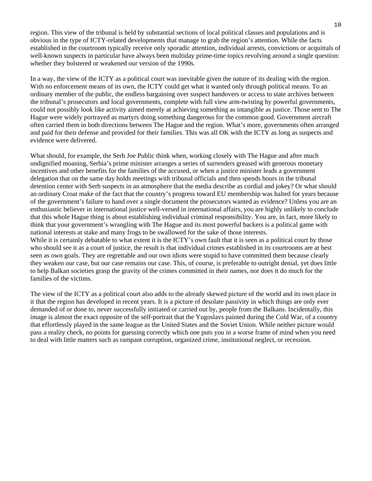region. This view of the tribunal is held by substantial sections of local political classes and populations and is obvious in the type of ICTY-related developments that manage to grab the region's attention. While the facts established in the courtroom typically receive only sporadic attention, individual arrests, convictions or acquittals of well-known suspects in particular have always been multiday prime-time topics revolving around a single question: whether they bolstered or weakened our version of the 1990s.

In a way, the view of the ICTY as a political court was inevitable given the nature of its dealing with the region. With no enforcement means of its own, the ICTY could get what it wanted only through political means. To an ordinary member of the public, the endless bargaining over suspect handovers or access to state archives between the tribunal's prosecutors and local governments, complete with full view arm-twisting by powerful governments, could not possibly look like activity aimed merely at achieving something as intangible as justice. Those sent to The Hague were widely portrayed as martyrs doing something dangerous for the common good. Government aircraft often carried them in both directions between The Hague and the region. What's more, governments often arranged and paid for their defense and provided for their families. This was all OK with the ICTY as long as suspects and evidence were delivered.

What should, for example, the Serb Joe Public think when, working closely with The Hague and after much undignified moaning, Serbia's prime minister arranges a series of surrenders greased with generous monetary incentives and other benefits for the families of the accused, or when a justice minister leads a government delegation that on the same day holds meetings with tribunal officials and then spends hours in the tribunal detention center with Serb suspects in an atmosphere that the media describe as cordial and jokey? Or what should an ordinary Croat make of the fact that the country's progress toward EU membership was halted for years because of the government's failure to hand over a single document the prosecutors wanted as evidence? Unless you are an enthusiastic believer in international justice well-versed in international affairs, you are highly unlikely to conclude that this whole Hague thing is about establishing individual criminal responsibility. You are, in fact, more likely to think that your government's wrangling with The Hague and its most powerful backers is a political game with national interests at stake and many frogs to be swallowed for the sake of those interests.

While it is certainly debatable to what extent it is the ICTY's own fault that it is seen as a political court by those who should see it as a court of justice, the result is that individual crimes established in its courtrooms are at best seen as own goals. They are regrettable and our own idiots were stupid to have committed them because clearly they weaken our case, but our case remains our case. This, of course, is preferable to outright denial, yet does little to help Balkan societies grasp the gravity of the crimes committed in their names, nor does it do much for the families of the victims.

The view of the ICTY as a political court also adds to the already skewed picture of the world and its own place in it that the region has developed in recent years. It is a picture of desolate passivity in which things are only ever demanded of or done to, never successfully initiated or carried out by, people from the Balkans. Incidentally, this image is almost the exact opposite of the self-portrait that the Yugoslavs painted during the Cold War, of a country that effortlessly played in the same league as the United States and the Soviet Union. While neither picture would pass a reality check, no points for guessing correctly which one puts you in a worse frame of mind when you need to deal with little matters such as rampant corruption, organized crime, institutional neglect, or recession.